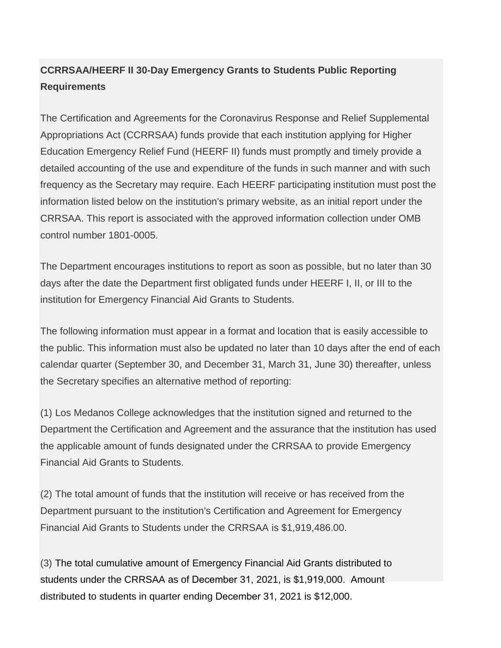## **CCRRSAA/HEERF II 30-Day Emergency Grants to Students Public Reporting Requirements**

The Certification and Agreements for the Coronavirus Response and Relief Supplemental Appropriations Act (CCRRSAA) funds provide that each institution applying for Higher Education Emergency Relief Fund (HEERF II) funds must promptly and timely provide a detailed accounting of the use and expenditure of the funds in such manner and with such frequency as the Secretary may require. Each HEERF participating institution must post the information listed below on the institution's primary website, as an initial report under the CRRSAA. This report is associated with the approved information collection under OMB control number 1801-0005.

The Department encourages institutions to report as soon as possible, but no later than 30 days after the date the Department first obligated funds under HEERF I, II, or III to the institution for Emergency Financial Aid Grants to Students.

The following information must appear in a format and location that is easily accessible to the public. This information must also be updated no later than 10 days after the end of each calendar quarter (September 30, and December 31, March 31, June 30) thereafter, unless the Secretary specifies an alternative method of reporting:

(1) Los Medanos College acknowledges that the institution signed and returned to the Department the Certification and Agreement and the assurance that the institution has used the applicable amount of funds designated under the CRRSAA to provide Emergency Financial Aid Grants to Students.

(2) The total amount of funds that the institution will receive or has received from the Department pursuant to the institution's Certification and Agreement for Emergency Financial Aid Grants to Students under the CRRSAA is \$1,919,486.00.

(3) The total cumulative amount of Emergency Financial Aid Grants distributed to students under the CRRSAA as of December 31, 2021, is \$1,919,000. Amount distributed to students in quarter ending December 31, 2021 is \$12,000.